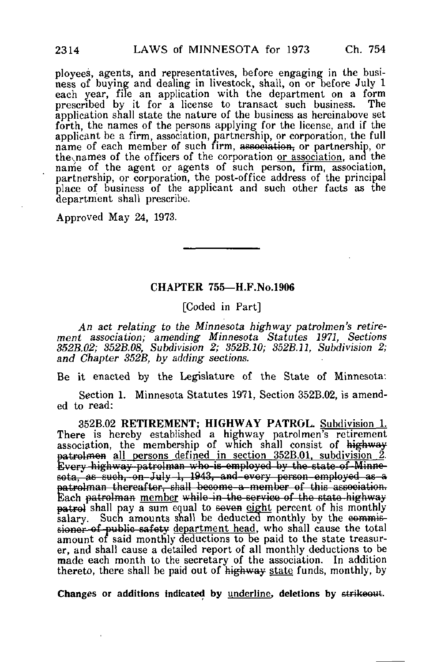ployees, agents, and representatives, before engaging in the business of buying and dealing in livestock, shall, on or before July 1 each year, file an application with the department on a form prescribed by it for a license to transact such business. The application shall state the nature of the business as hereinabove set forth, the names of the persons applying for the license, and if the applicant be a firm, association, partnership, or corporation, the full name of each member of such firm, association, or partnership, or the names of the officers of the corporation or association, and the name of the agent or agents of such person, firm, association, partnership, or corporation, the post-office address of the principal place of business of the applicant and such other facts as the department shall prescribe.

Approved May 24, 1973.

## CHAPTER 755— H.F.No.1906

[Coded in Part]

An act relating to the Minnesota highway patrolmen's retirement association; amending Minnesota Statutes 1971, Sections 352B.02; 352B.08, Subdivision 2; 352B.10; 352B.11, Subdivision 2; and Chapter 352B, by adding sections.

Be it enacted by the Legislature of the State of Minnesota:

Section 1. Minnesota Statutes 1971, Section 352B.02, is amended to read:

352B.02 RETIREMENT; HIGHWAY PATROL. Subdivision 1. There is hereby established a highway patrolmen's retirement association, the membership of which shall consist of highway patrolmen all persons defined in section 352B.01, subdivision 2. Every highway patrolman who is employed by the-stato-of Minnesota, as suoh, on July 1, 1943, aad-every person-employed as a patrolman therearter, shall become a member of the state highway.<br>Each patrolman member while in the service of the state highway atrolman thereafter, shall become-a-member of this association. patrol shall pay a sum equal to seven eight percent of his monthly salary. Such amounts shall be deducted monthly by the commissioner of public safety department head, who shall cause the total amount of said monthly deductions to be paid to the state treasurer, and shall cause a detailed report of all monthly deductions to be made each month to the secretary of the association. In addition thereto, there shall be paid out of highway state funds, monthly, by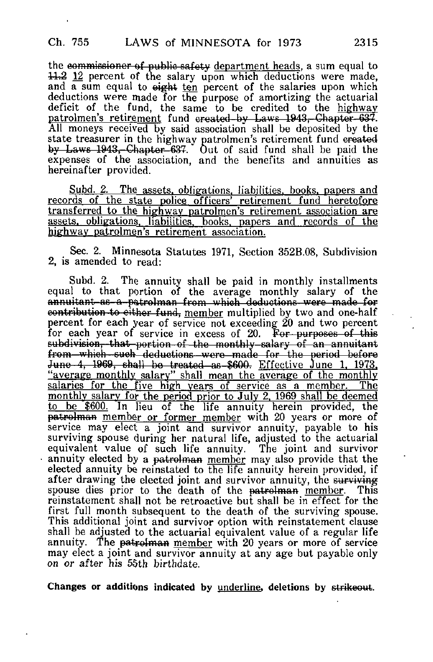the commissioner of public safety department heads, a sum equal to  $11.2$  12 percent of the salary upon which deductions were made. and  $\overline{a}$  sum equal to eight ten percent of the salaries upon which deductions were made for the purpose of amortizing the actuarial deficit of the fund, the same to be credited to the highway patrolmen's retir<u>ement</u> fund created by Laws 1943, Chapter 637. All moneys received by said association shall be deposited by the state treasurer in the highway patrolmen's retirement fund created by Laws 1943, Chapter 637. Out of said fund shall be paid the expenses of the association, and the benefits and annuities as hereinafter provided.

Subd. 2. The assets, obligations, liabilities, books, papers and records of the state police officers' retirement fund heretofore transferred to the highway patrolmen's retirement association are assets, obligations, liabilities, books, papers and records of the highway patrolmen's retirement association.

Sec. 2. Minnesota Statutes 1971, Section 352B.08, Subdivision 2, is amended to read:

Subd. 2. The annuity shall be paid in monthly installments equal to that portion of the average monthly salary of the annuitant as a patrolman from which deductions were made for eontribution to either fund, member multiplied by two and one-half percent for each year of service not exceeding 20 and two percent for each year of service in excess of 20. For purposes of this subdivision, that portion of the monthly-salary of an annuitant from which such deductions were made for the period before June 4, 1969, shall be treated as \$600. Effective June 1, 1973. "average monthly salary" shall mean the average of the monthly salaries for the five high years of service as a member. The monthly salary for the period prior to July 2. 1969 shall be deemed to be \$600. In lieu of the life annuity herein provided, the patrolman member or former member with 20 years or more of service may elect a joint and survivor annuity, payable to his surviving spouse during her natural life, adjusted to the actuarial equivalent value of such life annuity. The joint and survivor annuity elected by a patrolman member may also provide that the elected annuity be reinstated to the life annuity herein provided, if after drawing the elected joint and survivor annuity, the surviving spouse dies prior to the death of the patrolman member. This spouse dies prior to the death of the patrolman member. reinstatement shall not be retroactive but shall be in effect for the first full month subsequent to the death of the surviving spouse. This additional joint and survivor option with reinstatement clause shall be adjusted to the actuarial equivalent value of a regular life annuity. The patrolman member with 20 years or more of service may elect a joint and survivor annuity at any age but payable only on or after his 55th birthdate.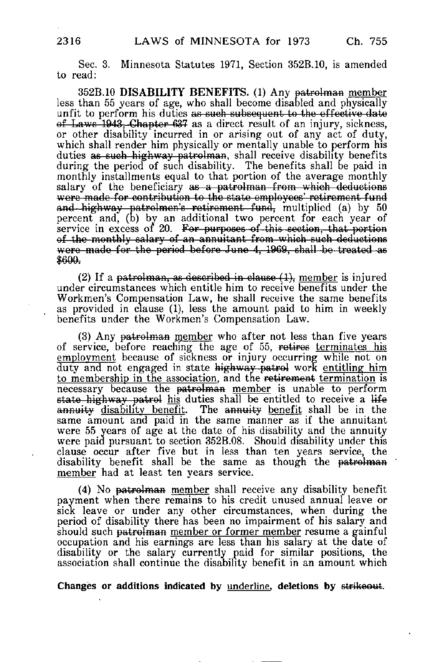Sec. 3. Minnesota Statutes 1971, Section 352B.10, is amended to read:

352B.10 DISABILITY BENEFITS. (1) Any patrolman member less than 55 years of age, who shall become disabled and physically unfit to perform his duties as such subsequent to the effective date of Laws 1943, Chapter 637 as a direct result of an injury, sickness, or other disability incurred in or arising out of any act of duty, which shall render him physically or mentally unable to perform his duties as such highway patrolman, shall receive disability benefits during the period of such disability. The benefits shall be paid in monthly installments equal to that portion of the average monthly salary of the beneficiary as a patrolman from which deductions were made for contribution to the state employees' retirement fund and highway patrolmen's retirement fund, multiplied (a) by 50 percent and, (b) by an additional two percent for each year of service in excess of 20. For purposes of this section, that portion of the monthly salary of an annuitant from which such deductions were made for the period before June 4, 1969, shall be treated as<br>\$600.

(2) If a patrolman, as described in clause  $(1)$ , member is injured under circumstances which entitle him to receive benefits under the Workmen's Compensation Law, he shall receive the same benefits as provided in clause (1), less the amount paid to him in weekly benefits under the Workmen's Compensation Law.

(3) Any patrolman member who after not less than five years of service, before reaching the age of 55, retires terminates his employment because of sickness or injury occurring while not on duty and not engaged in state highway- patrol work entitling him to membership in the association, and the retirement termination is necessary because the patrolman member is unable to perform state highway patrol his duties shall be entitled to receive a life an<del>nuity disability benefit</del>. The <del>annuity</del> benefit shall be in the same amount and paid in the same manner as if the annuitant were 55 years of age at the date of his disability and the annuity were paid pursuant to section 352B.08. Should disability under this clause occur after five but in less than ten years service, the disability benefit shall be the same as though the patrolman member had at least ten years service.

(4) No patrolman member shall receive any disability benefit payment when there remains to his credit unused annual leave or sick leave or under any other circumstances, when during the period of disability there has been no impairment of his salary and should such patrolman member or former member resume a gainful occupation and his earnings are less than his salary at the date of disability or the salary currently paid for similar positions, the association shall continue the disability benefit in an amount which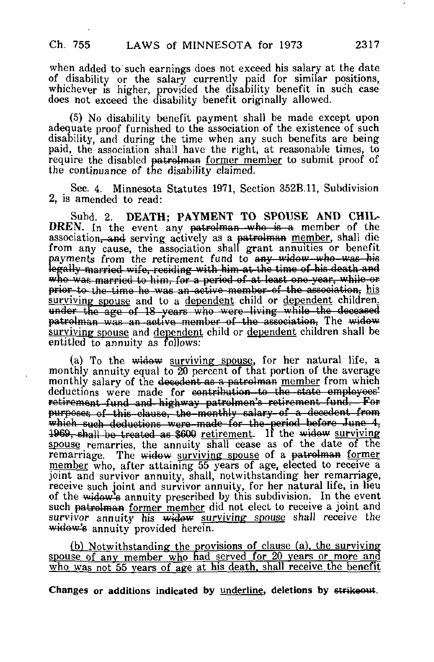when added to such earnings does not exceed his salary at the date of disability or the salary currently paid for similar positions, whichever is higher, provided the disability benefit in such case does not exceed the disability benefit originally allowed.

(5) No disability benefit payment shall be made except upon adequate proof furnished to the association of the existence of such disability, and during the time when any such benefits are being paid, the association shall have the right, at reasonable times, to require the disabled patrolman former member to submit proof of the continuance of the disability claimed.

Sec. 4. Minnesota Statutes 1971, Section 352B.11, Subdivision 2, is amended to read:

Subd. 2. DEATH; PAYMENT TO SPOUSE AND CHIL-DREN. In the event any patrolman who is a member of the association, and serving actively as a patrolman member, shall die from any cause, the association shall grant annuities or benefit payments from the retirement fund to any widow who was his legally married wife, residing with him at the time of his death and who was married to him, for a period of at least one year, while or prior to the time he was an active member of the association, his surviving spouse and to a dependent child or dependent children. under the age of 18-years who were living while the deceased patrolman was an active—member of the association, The widow surviving spouse and dependent child or dependent children shall be entitled to annuity as follows:

(a) To the widow surviving spouse, for her natural life, a monthly annuity equal to 20 percent of that portion of the average monthly salary of the docodent as a patrolman member from which deductions were made for contribution to the state employees' retirement fund and highway patrolmen's retirement fund. For purposes of this clause, the monthly salary of a decedent from purposes of this clause, the monthly salary of a decedent from<br>which such deductions were made for the period before June 4, 1969, shall be treated as \$600 retirement. If the widow surviving which such deductions were made for the period before June 4, spouse remarries, the annuity shall cease as of the date of the remarriage. The widow surviving spouse of a patrolman former member who, after attaining 55 years of age, elected to receive a joint and survivor annuity, shall, notwithstanding her remarriage, receive such joint and survivor annuity, for her natural life, in lieu of the widow's annuity prescribed by this subdivision. In the event such patrolman former member did not elect to receive a joint and survivor annuity his widow surviving spouse shall receive the widow's annuity provided herein.

(b) Notwithstanding the provisions of clause (a), the surviving spouse of any member who had served for 20 years or more and who was not 55 years of age at his death, shall receive the benefit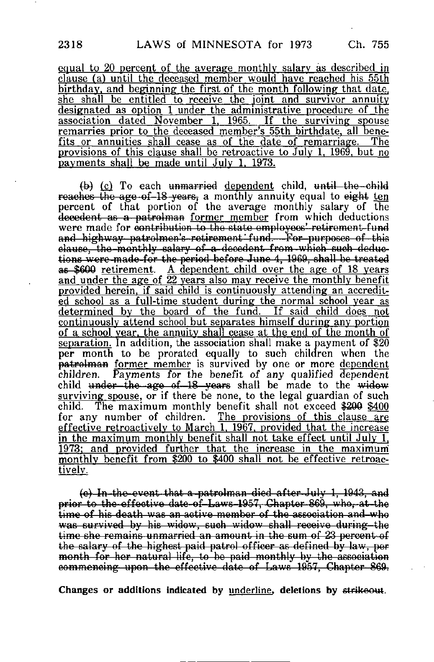equal to 20 percent of the average monthly salary as described in  $clause$  (a) until the deceased member would have reached his  $55th$ birthday, and beginning the first of the month following that date. she shall be entitled to receive the joint and survivor annuity designated as option 1 under the administrative procedure of the association dated November 1, 1965. If the surviving spouse remarries prior to the deceased member's 55th birthdate, all benefits or annuities shall cease as of the date of remarriage. The provisions of this clause shall be retroactive to July 1, 1969, but no payments shall be made until July 1. 1973.

 $(b)$  (c) To each unmarried dependent child, until the-child reaches the age-of-18 years, a monthly annuity equal to eight ten percent of that portion of the average monthly salary of the decedent as a patrolman former member from which deductions were made for contribution to the state employees'-retirement-fund and highway- patrolmen's-retirement' fund? — For— purposes of this clause, the-monthly -salary of-a-decedent from -which such deduc tione werc-made-for the period before June 4, 1969, shall be treated as \$600 retirement. A dependent child over the age of 18 years and under the age of  $\overline{22}$  years also may receive the monthly benefit provided herein, if said child is continuously attending an accredited school as a full-time student during the normal school year as determined by the board of the fund. If said child does not continuously attend school but separates himself during any portion of a school year, the annuity shall cease at the end of the month of separation. In addition, the association shall make a payment of \$20 per month to be prorated equally to such children when the patrolman former member is survived by one or more dependent children. Payments for the benefit of any qualified dependent child <del>under the age of 18 years</del> shall be made to the <del>widow</del> surviving spouse, or if there be none, to the legal guardian of such child. The maximum monthly benefit shall not exceed \$200 \$400 for any number of children. The provisions of this clause are effective retroactively to March 1. 1967. provided that the increase in the maximum monthly benefit shall not take effect until July 1. 1973; and provided further that the increase in the maximum monthly benefit from \$200 to \$400 shall not be effective retroactively;.

(c) In the ovont that a patrolman died after July 1, 1913, and prior to the-effective date-of-Laws-1957, Chapter 869, who, at the time of his death was an active member of the association and who was survived by hie widow, such widow shall receive during—the time she remains unmarried an amount in the sum of 23 percent of the salary of the highest paid patrol officer as defined by law, per month for her natural life, to be paid monthly by the association eommencing upon the effective date of Laws 1957, Chapter 869,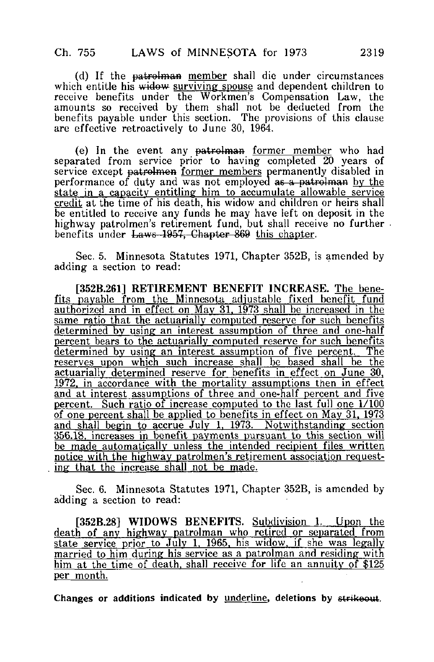(d) If the patrolman member shall die under circumstances which entitle his widow surviving spouse and dependent children to receive benefits under the Workmen's Compensation Law, the amounts so received by them shall not be deducted from the benefits payable under this section. The provisions of this clause are effective retroactively to June 30, 1964.

(e) In the event any <del>patrolman</del> <u>former member</u> who had separated from service prior to having completed 20 years of service except patrolmen former members permanently disabled in performance of duty and was not employed as a patrolman by the state in a capacity entitling him to accumulate allowable service credit at the time of his death, his widow and children or heirs shall be entitled to receive any funds he may have left on deposit in the highway patrolmen's retirement fund, but shall receive no further. benefits under Laws 1957. Chapter 869 this chapter.

Sec. 5. Minnesota Statutes 1971, Chapter 352B, is amended by adding a section to read:

[352B.261] RETIREMENT BENEFIT INCREASE. The bene-<u>fits payable from the Minnesota adjustable fixed benefit fund</u> authorized and in effect on May 31. 1973 shall be increased in the same ratio that the actuarially computed reserve for such benefits determined by using an interest assumption of three and one-half percent bears to the actuarially computed reserve for such benefits determined by using an interest assumption of five percent. The reserves upon which such increase shall be based shall he the actuarially determined reserve for benefits in effect on June 30. 1972. in accordance with the mortality assumptions then in effect and at interest assumptions of three and one-half percent and five percent. Such ratio of increase computed to the last full one  $1/100$ of one percent shall be applied to benefits in effect on May 31. 1973 and shall begin to accrue July 1. 1973. Notwithstanding section 356.18. increases in benefit payments pursuant to this section will be made automatically unless the intended recipient files written notice with the highway patrolmen's retirement association requesting that the increase shall not be made.

Sec. 6. Minnesota Statutes 1971, Chapter 352B, is amended by adding a section to read:

[352B.28] WIDOWS BENEFITS. Subdivision 1. Upon the death of any highway patrolman who retired or separated from state service prior to July 1. 1965. his widow, if she was legally married to him during his service as a patrolman and residing with him at the time of death, shall receive for life an annuity of \$125 per month.